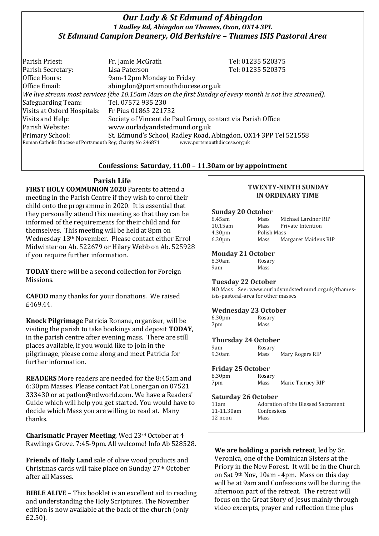# *Our Lady & St Edmund of Abingdon 1 Radley Rd, Abingdon on Thames, Oxon, OX14 3PL St Edmund Campion Deanery, Old Berkshire – Thames ISIS Pastoral Area*

| Parish Priest:                                                                                           | Fr. Jamie McGrath                 | Tel: 01235 520375                                               |
|----------------------------------------------------------------------------------------------------------|-----------------------------------|-----------------------------------------------------------------|
| Parish Secretary:                                                                                        | Lisa Paterson                     | Tel: 01235 520375                                               |
| Office Hours:                                                                                            | 9am-12pm Monday to Friday         |                                                                 |
| Office Email:                                                                                            | abingdon@portsmouthdiocese.org.uk |                                                                 |
| We live stream most services (the 10.15am Mass on the first Sunday of every month is not live streamed). |                                   |                                                                 |
| Safeguarding Team:                                                                                       | Tel. 07572 935 230                |                                                                 |
| Visits at Oxford Hospitals:                                                                              | Fr Pius 01865 221732              |                                                                 |
| Visits and Help:                                                                                         |                                   | Society of Vincent de Paul Group, contact via Parish Office     |
| Parish Website:                                                                                          | www.ourladyandstedmund.org.uk     |                                                                 |
| Primary School:                                                                                          |                                   | St. Edmund's School, Radley Road, Abingdon, OX14 3PP Tel 521558 |
| Roman Catholic Diocese of Portsmouth Reg. Charity No 246871                                              |                                   | www.portsmouthdiocese.org.uk                                    |

### **Confessions: Saturday, 11.00 – 11.30am or by appointment**

# **Parish Life**

**FIRST HOLY COMMUNION 2020** Parents to attend a meeting in the Parish Centre if they wish to enrol their child onto the programme in 2020. It is essential that they personally attend this meeting so that they can be informed of the requirements for their child and for themselves. This meeting will be held at 8pm on Wednesday 13th November. Please contact either Errol Midwinter on Ab. 522679 or Hilary Webb on Ab. 525928 if you require further information.

**TODAY** there will be a second collection for Foreign Missions.

**CAFOD** many thanks for your donations. We raised £469.44.

**Knock Pilgrimage** Patricia Ronane, organiser, will be visiting the parish to take bookings and deposit **TODAY**, in the parish centre after evening mass. There are still places available, if you would like to join in the pilgrimage, please come along and meet Patricia for further information.

**READERS** More readers are needed for the 8:45am and 6:30pm Masses. Please contact Pat Lonergan on 07521 333430 or at patlon@ntlworld.com. We have a Readers' Guide which will help you get started. You would have to decide which Mass you are willing to read at. Many thanks.

**Charismatic Prayer Meeting**, Wed 23rd October at 4 Rawlings Grove. 7:45-9pm. All welcome! Info Ab 528528.

**Friends of Holy Land** sale of olive wood products and Christmas cards will take place on Sunday 27th October after all Masses.

**BIBLE ALIVE** – This booklet is an excellent aid to reading and understanding the Holy Scriptures. The November edition is now available at the back of the church (only £2.50).

### **TWENTY-NINTH SUNDAY IN ORDINARY TIME**

### **Sunday 20 October**

| 8.45am             | Mass        | Michael Lardner RIP  |
|--------------------|-------------|----------------------|
| $10.15$ am         | Mass        | Private Intention    |
| 4.30 <sub>pm</sub> | Polish Mass |                      |
| 6.30 <sub>pm</sub> | Mass        | Margaret Maidens RIP |

### **Monday 21 October**

| 8.30am | Rosary |
|--------|--------|
| 9am    | Mass   |

### **Tuesday 22 October**

NO Mass See: www.ourladyandstedmund.org.uk/thamesisis-pastoral-area for other masses

### **Wednesday 23 October**

| 6.30 <sub>pm</sub> | Rosary |
|--------------------|--------|
| 7pm                | Mass   |

#### **Thursday 24 October** Rosary

| 9am    |  |
|--------|--|
| 9.30am |  |

Mass Mary Rogers RIP

### **Friday 25 October**

| 6.30 <sub>pm</sub> | Rosary |                   |
|--------------------|--------|-------------------|
| 7pm                | Mass   | Marie Tierney RIP |

### **Saturday 26 October**

| 11am       | Adoration of the Blessed Sacrament |
|------------|------------------------------------|
| 11-11.30am | Confessions                        |
| 12 noon    | Mass                               |

**We are holding a parish retreat**, led by Sr. Veronica, one of the Dominican Sisters at the Priory in the New Forest. It will be in the Church on Sat 9th Nov, 10am - 4pm. Mass on this day will be at 9am and Confessions will be during the afternoon part of the retreat. The retreat will focus on the Great Story of Jesus mainly through video excerpts, prayer and reflection time plus